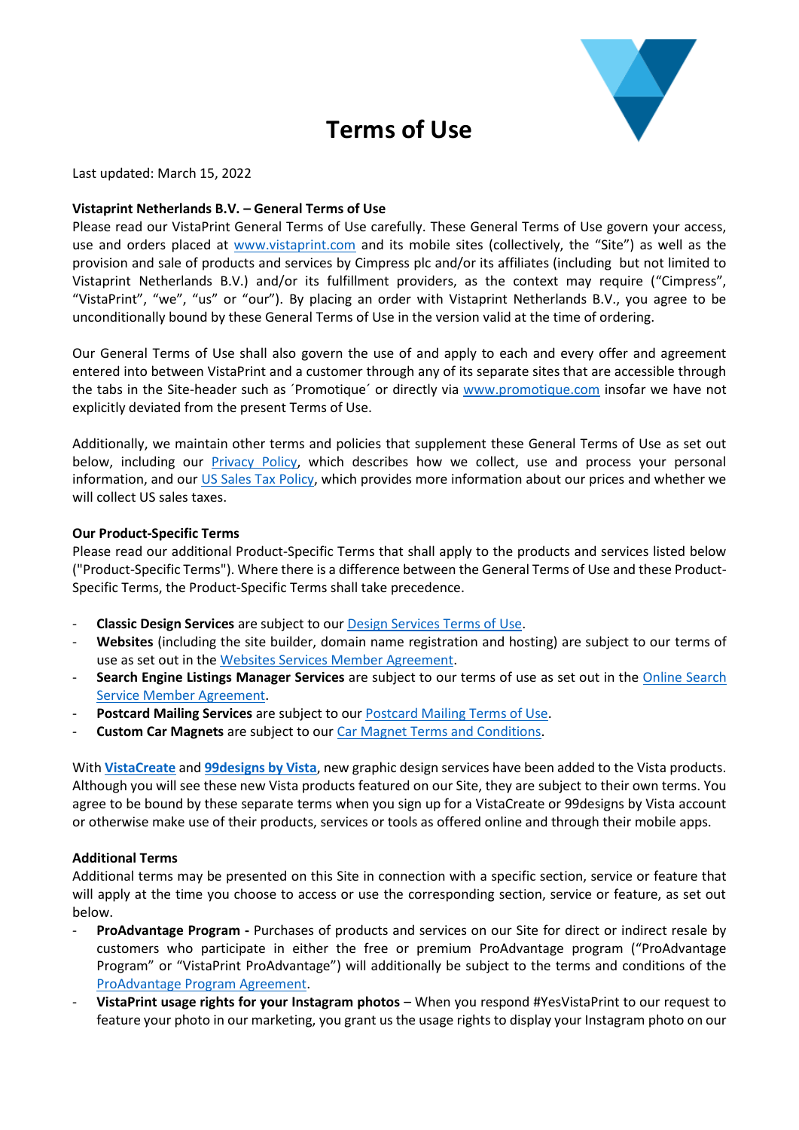# **Terms of Use**



Last updated: March 15, 2022

#### **Vistaprint Netherlands B.V. – General Terms of Use**

Please read our VistaPrint General Terms of Use carefully. These General Terms of Use govern your access, use and orders placed at [www.vistaprint.com](http://www.vistaprint.com/) and its mobile sites (collectively, the "Site") as well as the provision and sale of products and services by Cimpress plc and/or its affiliates (including but not limited to Vistaprint Netherlands B.V.) and/or its fulfillment providers, as the context may require ("Cimpress", "VistaPrint", "we", "us" or "our"). By placing an order with Vistaprint Netherlands B.V., you agree to be unconditionally bound by these General Terms of Use in the version valid at the time of ordering.

Our General Terms of Use shall also govern the use of and apply to each and every offer and agreement entered into between VistaPrint and a customer through any of its separate sites that are accessible through the tabs in the Site-header such as 'Promotique' or directly via [www.promotique.com](http://www.promotique.com/) insofar we have not explicitly deviated from the present Terms of Use.

Additionally, we maintain other terms and policies that supplement these General Terms of Use as set out below, including our **Privacy Policy**, which describes how we collect, use and process your personal information, and our US [Sales Tax Policy,](https://www.vistaprint.com/sales-tax-policy) which provides more information about our prices and whether we will collect US sales taxes.

#### **Our Product-Specific Terms**

Please read our additional Product-Specific Terms that shall apply to the products and services listed below ("Product-Specific Terms"). Where there is a difference between the General Terms of Use and these Product-Specific Terms, the Product-Specific Terms shall take precedence.

- **Classic Design Services** are subject to our [Design Services Terms of Use.](https://www.vistaprint.com/design-creative-services-terms)
- **Websites** (including the site builder, domain name registration and hosting) are subject to our terms of use as set out in the [Websites Services Member Agreement.](https://www.vistaprint.com/websites-terms-and-conditions)
- **Search Engine Listings Manager Services** are subject to our terms of use as set out in the [Online Search](https://www.vistaprint.com/online-search-service-member-agreement)  [Service Member Agreement.](https://www.vistaprint.com/online-search-service-member-agreement)
- Postcard Mailing Services are subject to ou[r Postcard Mailing](https://www.vistaprint.com/terms-of-mailing) Terms of Use.
- Custom Car Magnets are subject to our [Car Magnet T](https://www.vistaprint.com/car-door-magnets-terms)erms and Conditions.

With **[VistaCreate](https://www.vistacreate.com/)** and **[99designs by Vista](https://www.99designs.com/)**, new graphic design services have been added to the Vista products. Although you will see these new Vista products featured on our Site, they are subject to their own terms. You agree to be bound by these separate terms when you sign up for a VistaCreate or 99designs by Vista account or otherwise make use of their products, services or tools as offered online and through their mobile apps.

#### **Additional Terms**

Additional terms may be presented on this Site in connection with a specific section, service or feature that will apply at the time you choose to access or use the corresponding section, service or feature, as set out below.

- **ProAdvantage Program -** Purchases of products and services on our Site for direct or indirect resale by customers who participate in either the free or premium ProAdvantage program ("ProAdvantage Program" or "VistaPrint ProAdvantage") will additionally be subject to the terms and conditions of the [ProAdvantage Program Agreement.](https://www.vistaprint.com/terms-of-mailing)
- **VistaPrint usage rights for your Instagram photos** When you respond #YesVistaPrint to our request to feature your photo in our marketing, you grant us the usage rights to display your Instagram photo on our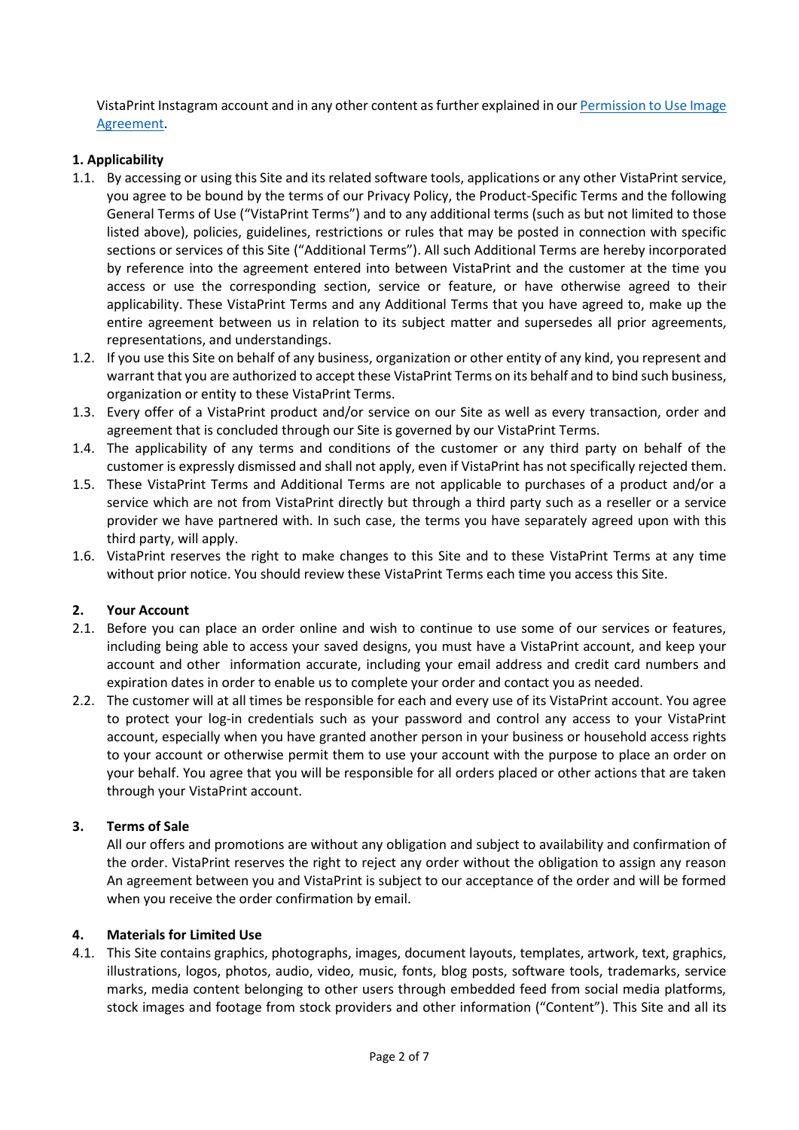VistaPrint Instagram account and in any other content as further explained in ou[r Permission to Use Image](https://www.vistaprint.com/image-use-terms)  [Agreement.](https://www.vistaprint.com/image-use-terms)

## **1. Applicability**

- 1.1. By accessing or using this Site and its related software tools, applications or any other VistaPrint service, you agree to be bound by the terms of our Privacy Policy, the Product-Specific Terms and the following General Terms of Use ("VistaPrint Terms") and to any additional terms (such as but not limited to those listed above), policies, guidelines, restrictions or rules that may be posted in connection with specific sections or services of this Site ("Additional Terms"). All such Additional Terms are hereby incorporated by reference into the agreement entered into between VistaPrint and the customer at the time you access or use the corresponding section, service or feature, or have otherwise agreed to their applicability. These VistaPrint Terms and any Additional Terms that you have agreed to, make up the entire agreement between us in relation to its subject matter and supersedes all prior agreements, representations, and understandings.
- 1.2. If you use this Site on behalf of any business, organization or other entity of any kind, you represent and warrant that you are authorized to accept these VistaPrint Terms on its behalf and to bind such business, organization or entity to these VistaPrint Terms.
- 1.3. Every offer of a VistaPrint product and/or service on our Site as well as every transaction, order and agreement that is concluded through our Site is governed by our VistaPrint Terms.
- 1.4. The applicability of any terms and conditions of the customer or any third party on behalf of the customer is expressly dismissed and shall not apply, even if VistaPrint has not specifically rejected them.
- 1.5. These VistaPrint Terms and Additional Terms are not applicable to purchases of a product and/or a service which are not from VistaPrint directly but through a third party such as a reseller or a service provider we have partnered with. In such case, the terms you have separately agreed upon with this third party, will apply.
- 1.6. VistaPrint reserves the right to make changes to this Site and to these VistaPrint Terms at any time without prior notice. You should review these VistaPrint Terms each time you access this Site.

## **2. Your Account**

- 2.1. Before you can place an order online and wish to continue to use some of our services or features, including being able to access your saved designs, you must have a VistaPrint account, and keep your account and other information accurate, including your email address and credit card numbers and expiration dates in order to enable us to complete your order and contact you as needed.
- 2.2. The customer will at all times be responsible for each and every use of its VistaPrint account. You agree to protect your log-in credentials such as your password and control any access to your VistaPrint account, especially when you have granted another person in your business or household access rights to your account or otherwise permit them to use your account with the purpose to place an order on your behalf. You agree that you will be responsible for all orders placed or other actions that are taken through your VistaPrint account.

## **3. Terms of Sale**

All our offers and promotions are without any obligation and subject to availability and confirmation of the order. VistaPrint reserves the right to reject any order without the obligation to assign any reason An agreement between you and VistaPrint is subject to our acceptance of the order and will be formed when you receive the order confirmation by email.

## **4. Materials for Limited Use**

4.1. This Site contains graphics, photographs, images, document layouts, templates, artwork, text, graphics, illustrations, logos, photos, audio, video, music, fonts, blog posts, software tools, trademarks, service marks, media content belonging to other users through embedded feed from social media platforms, stock images and footage from stock providers and other information ("Content"). This Site and all its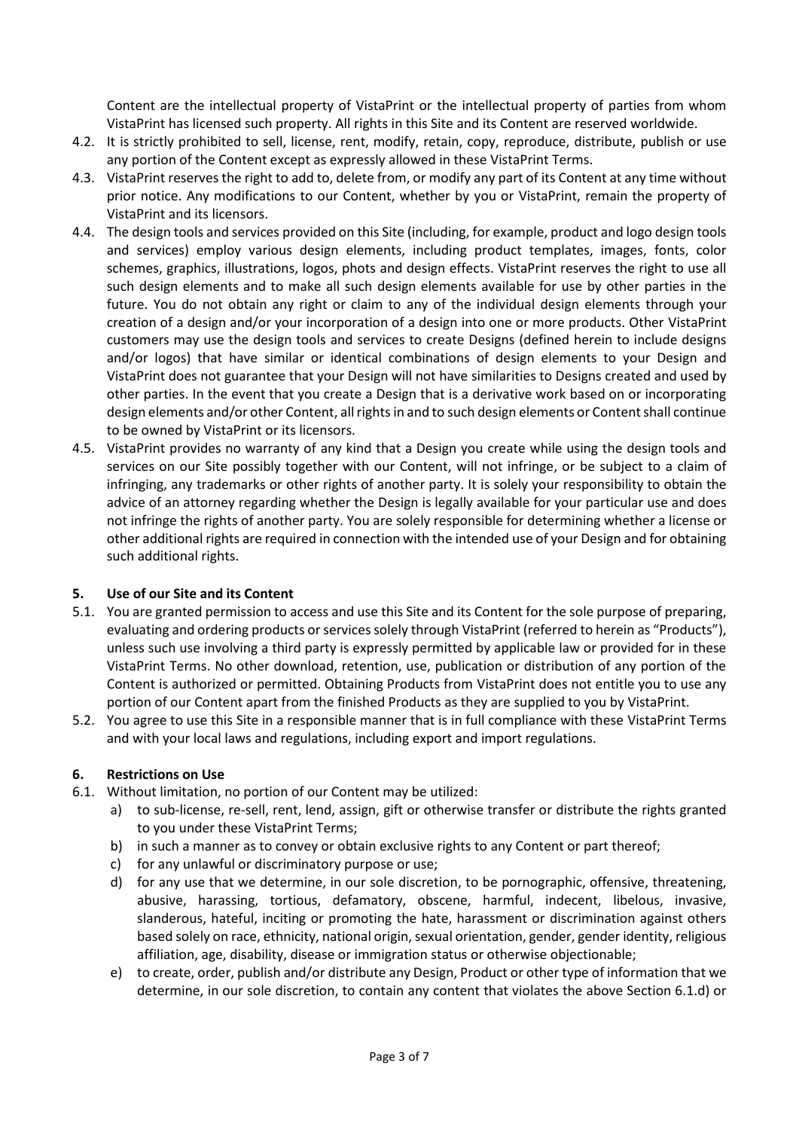Content are the intellectual property of VistaPrint or the intellectual property of parties from whom VistaPrint has licensed such property. All rights in this Site and its Content are reserved worldwide.

- 4.2. It is strictly prohibited to sell, license, rent, modify, retain, copy, reproduce, distribute, publish or use any portion of the Content except as expressly allowed in these VistaPrint Terms.
- 4.3. VistaPrint reserves the right to add to, delete from, or modify any part of its Content at any time without prior notice. Any modifications to our Content, whether by you or VistaPrint, remain the property of VistaPrint and its licensors.
- 4.4. The design tools and services provided on this Site (including, for example, product and logo design tools and services) employ various design elements, including product templates, images, fonts, color schemes, graphics, illustrations, logos, phots and design effects. VistaPrint reserves the right to use all such design elements and to make all such design elements available for use by other parties in the future. You do not obtain any right or claim to any of the individual design elements through your creation of a design and/or your incorporation of a design into one or more products. Other VistaPrint customers may use the design tools and services to create Designs (defined herein to include designs and/or logos) that have similar or identical combinations of design elements to your Design and VistaPrint does not guarantee that your Design will not have similarities to Designs created and used by other parties. In the event that you create a Design that is a derivative work based on or incorporating design elements and/or other Content, all rights in and to such design elements or Content shall continue to be owned by VistaPrint or its licensors.
- 4.5. VistaPrint provides no warranty of any kind that a Design you create while using the design tools and services on our Site possibly together with our Content, will not infringe, or be subject to a claim of infringing, any trademarks or other rights of another party. It is solely your responsibility to obtain the advice of an attorney regarding whether the Design is legally available for your particular use and does not infringe the rights of another party. You are solely responsible for determining whether a license or other additional rights are required in connection with the intended use of your Design and for obtaining such additional rights.

#### **5. Use of our Site and its Content**

- 5.1. You are granted permission to access and use this Site and its Content for the sole purpose of preparing, evaluating and ordering products or services solely through VistaPrint (referred to herein as "Products"), unless such use involving a third party is expressly permitted by applicable law or provided for in these VistaPrint Terms. No other download, retention, use, publication or distribution of any portion of the Content is authorized or permitted. Obtaining Products from VistaPrint does not entitle you to use any portion of our Content apart from the finished Products as they are supplied to you by VistaPrint.
- 5.2. You agree to use this Site in a responsible manner that is in full compliance with these VistaPrint Terms and with your local laws and regulations, including export and import regulations.

## **6. Restrictions on Use**

- 6.1. Without limitation, no portion of our Content may be utilized:
	- a) to sub-license, re-sell, rent, lend, assign, gift or otherwise transfer or distribute the rights granted to you under these VistaPrint Terms;
	- b) in such a manner as to convey or obtain exclusive rights to any Content or part thereof;
	- c) for any unlawful or discriminatory purpose or use;
	- d) for any use that we determine, in our sole discretion, to be pornographic, offensive, threatening, abusive, harassing, tortious, defamatory, obscene, harmful, indecent, libelous, invasive, slanderous, hateful, inciting or promoting the hate, harassment or discrimination against others based solely on race, ethnicity, national origin, sexual orientation, gender, gender identity, religious affiliation, age, disability, disease or immigration status or otherwise objectionable;
	- e) to create, order, publish and/or distribute any Design, Product or other type of information that we determine, in our sole discretion, to contain any content that violates the above Section 6.1.d) or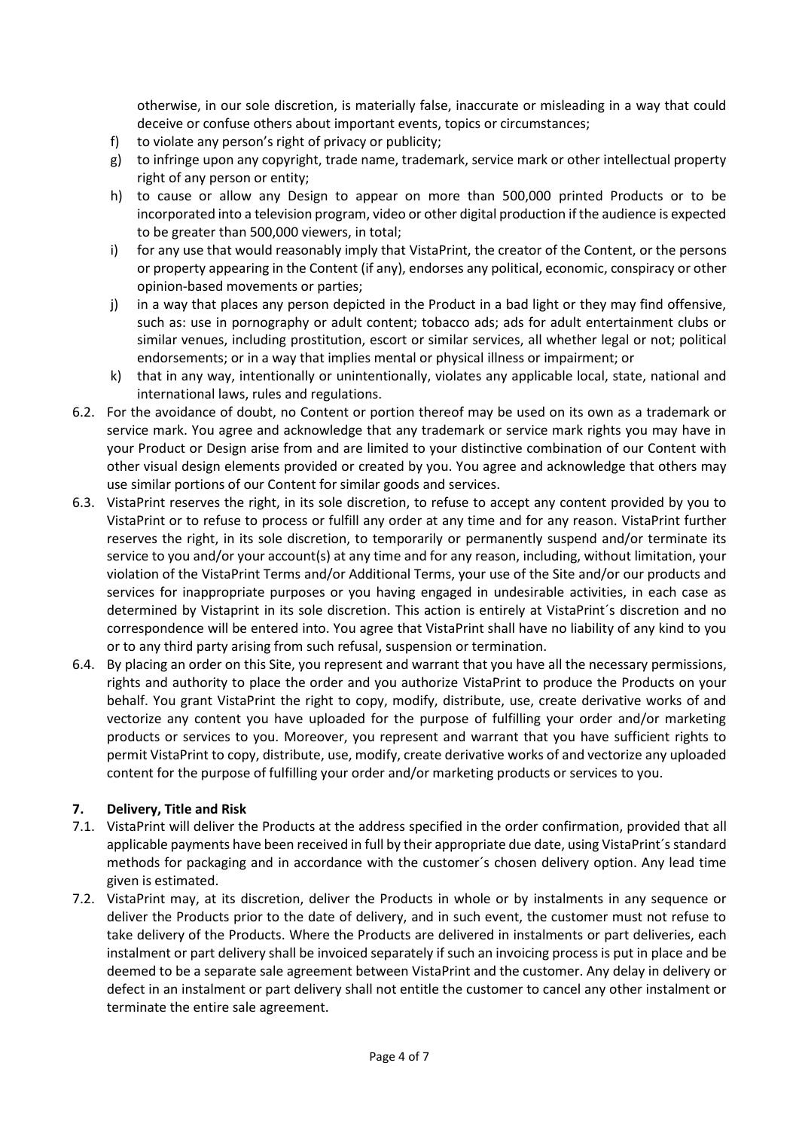otherwise, in our sole discretion, is materially false, inaccurate or misleading in a way that could deceive or confuse others about important events, topics or circumstances;

- f) to violate any person's right of privacy or publicity;
- g) to infringe upon any copyright, trade name, trademark, service mark or other intellectual property right of any person or entity;
- h) to cause or allow any Design to appear on more than 500,000 printed Products or to be incorporated into a television program, video or other digital production if the audience is expected to be greater than 500,000 viewers, in total;
- i) for any use that would reasonably imply that VistaPrint, the creator of the Content, or the persons or property appearing in the Content (if any), endorses any political, economic, conspiracy or other opinion-based movements or parties;
- j) in a way that places any person depicted in the Product in a bad light or they may find offensive, such as: use in pornography or adult content; tobacco ads; ads for adult entertainment clubs or similar venues, including prostitution, escort or similar services, all whether legal or not; political endorsements; or in a way that implies mental or physical illness or impairment; or
- k) that in any way, intentionally or unintentionally, violates any applicable local, state, national and international laws, rules and regulations.
- 6.2. For the avoidance of doubt, no Content or portion thereof may be used on its own as a trademark or service mark. You agree and acknowledge that any trademark or service mark rights you may have in your Product or Design arise from and are limited to your distinctive combination of our Content with other visual design elements provided or created by you. You agree and acknowledge that others may use similar portions of our Content for similar goods and services.
- 6.3. VistaPrint reserves the right, in its sole discretion, to refuse to accept any content provided by you to VistaPrint or to refuse to process or fulfill any order at any time and for any reason. VistaPrint further reserves the right, in its sole discretion, to temporarily or permanently suspend and/or terminate its service to you and/or your account(s) at any time and for any reason, including, without limitation, your violation of the VistaPrint Terms and/or Additional Terms, your use of the Site and/or our products and services for inappropriate purposes or you having engaged in undesirable activities, in each case as determined by Vistaprint in its sole discretion. This action is entirely at VistaPrint's discretion and no correspondence will be entered into. You agree that VistaPrint shall have no liability of any kind to you or to any third party arising from such refusal, suspension or termination.
- 6.4. By placing an order on this Site, you represent and warrant that you have all the necessary permissions, rights and authority to place the order and you authorize VistaPrint to produce the Products on your behalf. You grant VistaPrint the right to copy, modify, distribute, use, create derivative works of and vectorize any content you have uploaded for the purpose of fulfilling your order and/or marketing products or services to you. Moreover, you represent and warrant that you have sufficient rights to permit VistaPrint to copy, distribute, use, modify, create derivative works of and vectorize any uploaded content for the purpose of fulfilling your order and/or marketing products or services to you.

## **7. Delivery, Title and Risk**

- 7.1. VistaPrint will deliver the Products at the address specified in the order confirmation, provided that all applicable payments have been received in full by their appropriate due date, using VistaPrint's standard methods for packaging and in accordance with the customer´s chosen delivery option. Any lead time given is estimated.
- 7.2. VistaPrint may, at its discretion, deliver the Products in whole or by instalments in any sequence or deliver the Products prior to the date of delivery, and in such event, the customer must not refuse to take delivery of the Products. Where the Products are delivered in instalments or part deliveries, each instalment or part delivery shall be invoiced separately if such an invoicing process is put in place and be deemed to be a separate sale agreement between VistaPrint and the customer. Any delay in delivery or defect in an instalment or part delivery shall not entitle the customer to cancel any other instalment or terminate the entire sale agreement.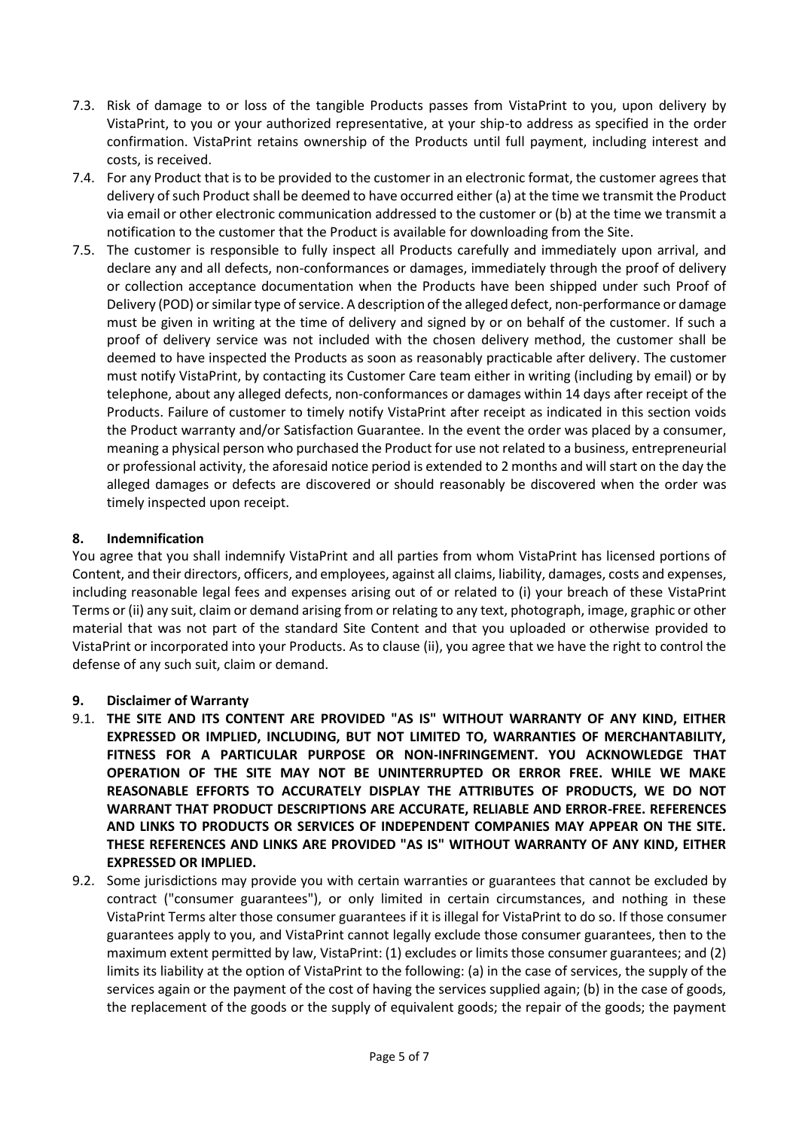- 7.3. Risk of damage to or loss of the tangible Products passes from VistaPrint to you, upon delivery by VistaPrint, to you or your authorized representative, at your ship-to address as specified in the order confirmation. VistaPrint retains ownership of the Products until full payment, including interest and costs, is received.
- 7.4. For any Product that is to be provided to the customer in an electronic format, the customer agrees that delivery of such Product shall be deemed to have occurred either (a) at the time we transmit the Product via email or other electronic communication addressed to the customer or (b) at the time we transmit a notification to the customer that the Product is available for downloading from the Site.
- 7.5. The customer is responsible to fully inspect all Products carefully and immediately upon arrival, and declare any and all defects, non-conformances or damages, immediately through the proof of delivery or collection acceptance documentation when the Products have been shipped under such Proof of Delivery (POD) or similar type of service. A description of the alleged defect, non-performance or damage must be given in writing at the time of delivery and signed by or on behalf of the customer. If such a proof of delivery service was not included with the chosen delivery method, the customer shall be deemed to have inspected the Products as soon as reasonably practicable after delivery. The customer must notify VistaPrint, by contacting its Customer Care team either in writing (including by email) or by telephone, about any alleged defects, non-conformances or damages within 14 days after receipt of the Products. Failure of customer to timely notify VistaPrint after receipt as indicated in this section voids the Product warranty and/or Satisfaction Guarantee. In the event the order was placed by a consumer, meaning a physical person who purchased the Product for use not related to a business, entrepreneurial or professional activity, the aforesaid notice period is extended to 2 months and will start on the day the alleged damages or defects are discovered or should reasonably be discovered when the order was timely inspected upon receipt.

## **8. Indemnification**

You agree that you shall indemnify VistaPrint and all parties from whom VistaPrint has licensed portions of Content, and their directors, officers, and employees, against all claims, liability, damages, costs and expenses, including reasonable legal fees and expenses arising out of or related to (i) your breach of these VistaPrint Terms or (ii) any suit, claim or demand arising from or relating to any text, photograph, image, graphic or other material that was not part of the standard Site Content and that you uploaded or otherwise provided to VistaPrint or incorporated into your Products. As to clause (ii), you agree that we have the right to control the defense of any such suit, claim or demand.

#### **9. Disclaimer of Warranty**

- 9.1. **THE SITE AND ITS CONTENT ARE PROVIDED "AS IS" WITHOUT WARRANTY OF ANY KIND, EITHER EXPRESSED OR IMPLIED, INCLUDING, BUT NOT LIMITED TO, WARRANTIES OF MERCHANTABILITY, FITNESS FOR A PARTICULAR PURPOSE OR NON-INFRINGEMENT. YOU ACKNOWLEDGE THAT OPERATION OF THE SITE MAY NOT BE UNINTERRUPTED OR ERROR FREE. WHILE WE MAKE REASONABLE EFFORTS TO ACCURATELY DISPLAY THE ATTRIBUTES OF PRODUCTS, WE DO NOT WARRANT THAT PRODUCT DESCRIPTIONS ARE ACCURATE, RELIABLE AND ERROR-FREE. REFERENCES AND LINKS TO PRODUCTS OR SERVICES OF INDEPENDENT COMPANIES MAY APPEAR ON THE SITE. THESE REFERENCES AND LINKS ARE PROVIDED "AS IS" WITHOUT WARRANTY OF ANY KIND, EITHER EXPRESSED OR IMPLIED.**
- 9.2. Some jurisdictions may provide you with certain warranties or guarantees that cannot be excluded by contract ("consumer guarantees"), or only limited in certain circumstances, and nothing in these VistaPrint Terms alter those consumer guarantees if it is illegal for VistaPrint to do so. If those consumer guarantees apply to you, and VistaPrint cannot legally exclude those consumer guarantees, then to the maximum extent permitted by law, VistaPrint: (1) excludes or limits those consumer guarantees; and (2) limits its liability at the option of VistaPrint to the following: (a) in the case of services, the supply of the services again or the payment of the cost of having the services supplied again; (b) in the case of goods, the replacement of the goods or the supply of equivalent goods; the repair of the goods; the payment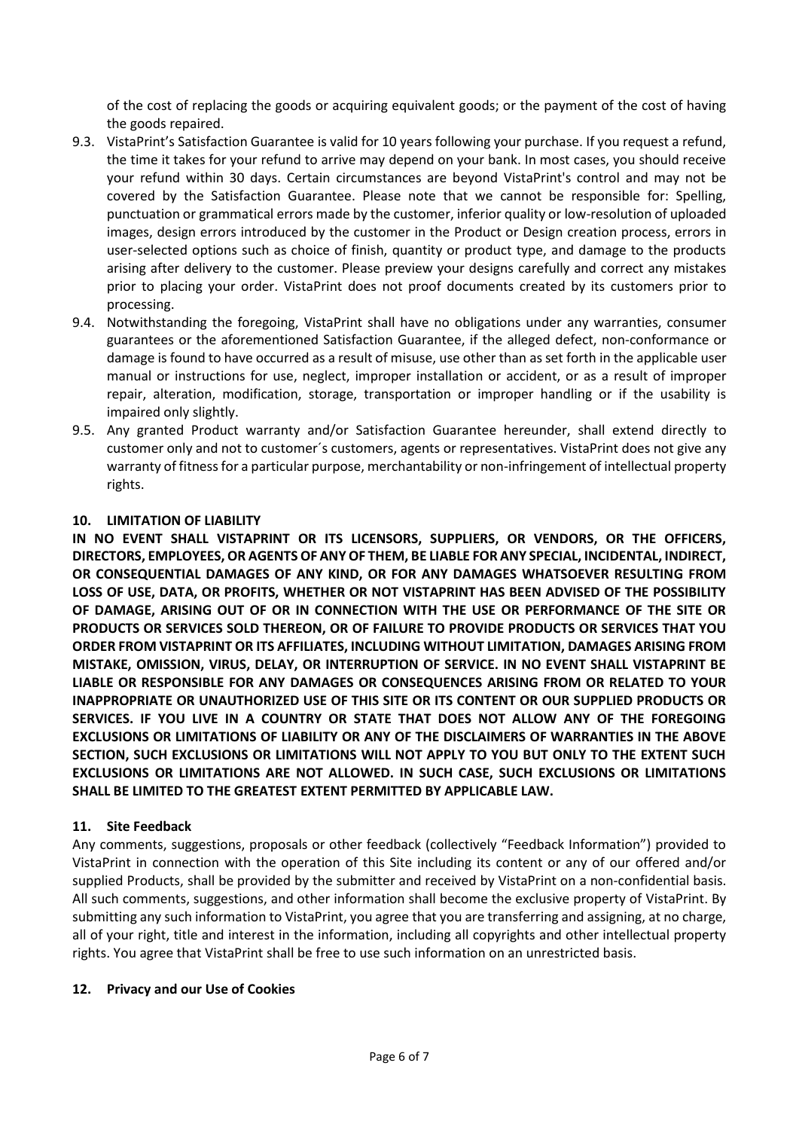of the cost of replacing the goods or acquiring equivalent goods; or the payment of the cost of having the goods repaired.

- 9.3. VistaPrint's Satisfaction Guarantee is valid for 10 years following your purchase. If you request a refund, the time it takes for your refund to arrive may depend on your bank. In most cases, you should receive your refund within 30 days. Certain circumstances are beyond VistaPrint's control and may not be covered by the Satisfaction Guarantee. Please note that we cannot be responsible for: Spelling, punctuation or grammatical errors made by the customer, inferior quality or low-resolution of uploaded images, design errors introduced by the customer in the Product or Design creation process, errors in user-selected options such as choice of finish, quantity or product type, and damage to the products arising after delivery to the customer. Please preview your designs carefully and correct any mistakes prior to placing your order. VistaPrint does not proof documents created by its customers prior to processing.
- 9.4. Notwithstanding the foregoing, VistaPrint shall have no obligations under any warranties, consumer guarantees or the aforementioned Satisfaction Guarantee, if the alleged defect, non-conformance or damage is found to have occurred as a result of misuse, use other than as set forth in the applicable user manual or instructions for use, neglect, improper installation or accident, or as a result of improper repair, alteration, modification, storage, transportation or improper handling or if the usability is impaired only slightly.
- 9.5. Any granted Product warranty and/or Satisfaction Guarantee hereunder, shall extend directly to customer only and not to customer´s customers, agents or representatives. VistaPrint does not give any warranty of fitness for a particular purpose, merchantability or non-infringement of intellectual property rights.

## **10. LIMITATION OF LIABILITY**

**IN NO EVENT SHALL VISTAPRINT OR ITS LICENSORS, SUPPLIERS, OR VENDORS, OR THE OFFICERS, DIRECTORS, EMPLOYEES, OR AGENTS OF ANY OF THEM, BE LIABLE FOR ANY SPECIAL, INCIDENTAL, INDIRECT, OR CONSEQUENTIAL DAMAGES OF ANY KIND, OR FOR ANY DAMAGES WHATSOEVER RESULTING FROM LOSS OF USE, DATA, OR PROFITS, WHETHER OR NOT VISTAPRINT HAS BEEN ADVISED OF THE POSSIBILITY OF DAMAGE, ARISING OUT OF OR IN CONNECTION WITH THE USE OR PERFORMANCE OF THE SITE OR PRODUCTS OR SERVICES SOLD THEREON, OR OF FAILURE TO PROVIDE PRODUCTS OR SERVICES THAT YOU ORDER FROM VISTAPRINT OR ITS AFFILIATES, INCLUDING WITHOUT LIMITATION, DAMAGES ARISING FROM MISTAKE, OMISSION, VIRUS, DELAY, OR INTERRUPTION OF SERVICE. IN NO EVENT SHALL VISTAPRINT BE LIABLE OR RESPONSIBLE FOR ANY DAMAGES OR CONSEQUENCES ARISING FROM OR RELATED TO YOUR INAPPROPRIATE OR UNAUTHORIZED USE OF THIS SITE OR ITS CONTENT OR OUR SUPPLIED PRODUCTS OR SERVICES. IF YOU LIVE IN A COUNTRY OR STATE THAT DOES NOT ALLOW ANY OF THE FOREGOING EXCLUSIONS OR LIMITATIONS OF LIABILITY OR ANY OF THE DISCLAIMERS OF WARRANTIES IN THE ABOVE SECTION, SUCH EXCLUSIONS OR LIMITATIONS WILL NOT APPLY TO YOU BUT ONLY TO THE EXTENT SUCH EXCLUSIONS OR LIMITATIONS ARE NOT ALLOWED. IN SUCH CASE, SUCH EXCLUSIONS OR LIMITATIONS SHALL BE LIMITED TO THE GREATEST EXTENT PERMITTED BY APPLICABLE LAW.**

## **11. Site Feedback**

Any comments, suggestions, proposals or other feedback (collectively "Feedback Information") provided to VistaPrint in connection with the operation of this Site including its content or any of our offered and/or supplied Products, shall be provided by the submitter and received by VistaPrint on a non-confidential basis. All such comments, suggestions, and other information shall become the exclusive property of VistaPrint. By submitting any such information to VistaPrint, you agree that you are transferring and assigning, at no charge, all of your right, title and interest in the information, including all copyrights and other intellectual property rights. You agree that VistaPrint shall be free to use such information on an unrestricted basis.

#### **12. Privacy and our Use of Cookies**